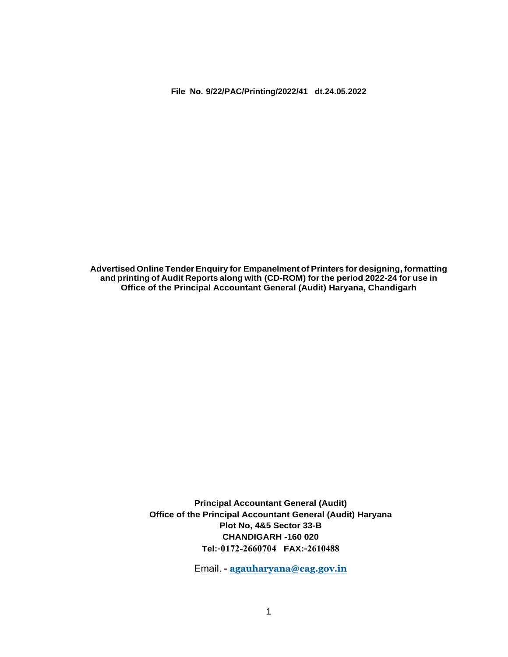**Advertised Online TenderEnquiry for Empanelment of Printers for designing, formatting and printing of Audit Reports along with (CD-ROM) for the period 2022-24 for use in Office of the Principal Accountant General (Audit) Haryana, Chandigarh**

> **Principal Accountant General (Audit) Office of the Principal Accountant General (Audit) Haryana Plot No, 4&5 Sector 33-B CHANDIGARH -160 020 Tel:**-**0172-2660704 FAX:**-**2610488**

> > Email. **- [agauharyana@cag.gov.in](mailto:agauharyana@cag.gov.in)**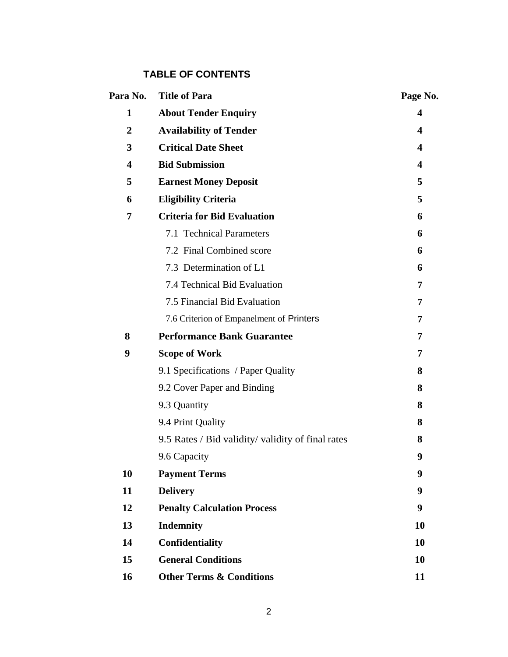# **TABLE OF CONTENTS**

| Para No.                | <b>Title of Para</b>                              | Page No.         |
|-------------------------|---------------------------------------------------|------------------|
| $\mathbf{1}$            | <b>About Tender Enquiry</b>                       | 4                |
| $\overline{2}$          | <b>Availability of Tender</b>                     | 4                |
| 3                       | <b>Critical Date Sheet</b>                        | 4                |
| $\overline{\mathbf{4}}$ | <b>Bid Submission</b>                             | $\boldsymbol{4}$ |
| 5                       | <b>Earnest Money Deposit</b>                      | 5                |
| 6                       | <b>Eligibility Criteria</b>                       | 5                |
| 7                       | <b>Criteria for Bid Evaluation</b>                | 6                |
|                         | 7.1 Technical Parameters                          | 6                |
|                         | 7.2 Final Combined score                          | 6                |
|                         | 7.3 Determination of L1                           | 6                |
|                         | 7.4 Technical Bid Evaluation                      | 7                |
|                         | 7.5 Financial Bid Evaluation                      | 7                |
|                         | 7.6 Criterion of Empanelment of Printers          | 7                |
| 8                       | <b>Performance Bank Guarantee</b>                 | 7                |
| 9                       | <b>Scope of Work</b>                              | 7                |
|                         | 9.1 Specifications / Paper Quality                | 8                |
|                         | 9.2 Cover Paper and Binding                       | 8                |
|                         | 9.3 Quantity                                      | 8                |
|                         | 9.4 Print Quality                                 | 8                |
|                         | 9.5 Rates / Bid validity/ validity of final rates | 8                |
|                         | 9.6 Capacity                                      | 9                |
| 10                      | <b>Payment Terms</b>                              | 9                |
| 11                      | <b>Delivery</b>                                   | 9                |
| 12                      | <b>Penalty Calculation Process</b>                | 9                |
| 13                      | <b>Indemnity</b>                                  | 10               |
| 14                      | Confidentiality                                   | 10               |
| 15                      | <b>General Conditions</b>                         | 10               |
| 16                      | <b>Other Terms &amp; Conditions</b>               | 11               |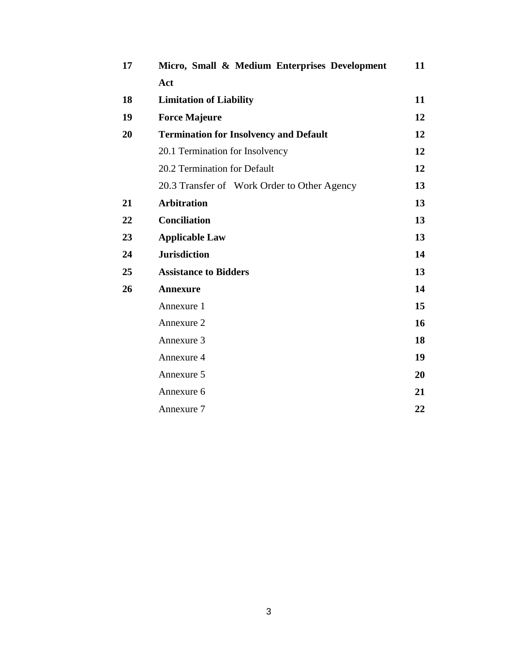| 17 | Micro, Small & Medium Enterprises Development | 11 |
|----|-----------------------------------------------|----|
|    | Act                                           |    |
| 18 | <b>Limitation of Liability</b>                | 11 |
| 19 | <b>Force Majeure</b>                          | 12 |
| 20 | <b>Termination for Insolvency and Default</b> | 12 |
|    | 20.1 Termination for Insolvency               | 12 |
|    | 20.2 Termination for Default                  | 12 |
|    | 20.3 Transfer of Work Order to Other Agency   | 13 |
| 21 | <b>Arbitration</b>                            | 13 |
| 22 | <b>Conciliation</b>                           | 13 |
| 23 | <b>Applicable Law</b>                         | 13 |
| 24 | <b>Jurisdiction</b>                           | 14 |
| 25 | <b>Assistance to Bidders</b>                  | 13 |
| 26 | <b>Annexure</b>                               | 14 |
|    | Annexure 1                                    | 15 |
|    | Annexure 2                                    | 16 |
|    | Annexure 3                                    | 18 |
|    | Annexure 4                                    | 19 |
|    | Annexure 5                                    | 20 |
|    | Annexure 6                                    | 21 |
|    | Annexure 7                                    | 22 |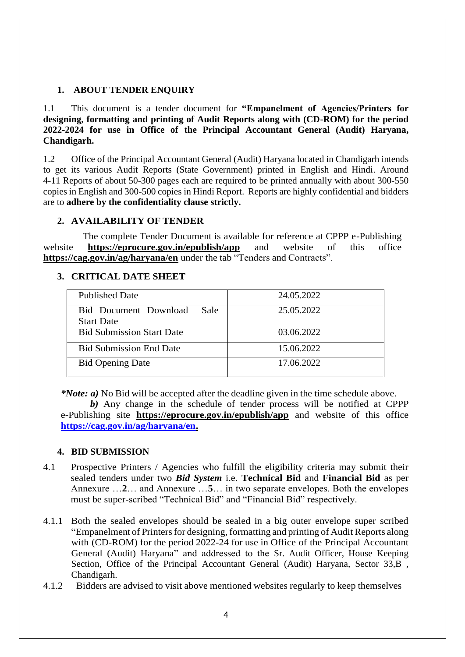# **1. ABOUT TENDER ENQUIRY**

1.1 This document is a tender document for **"Empanelment of Agencies/Printers for designing, formatting and printing of Audit Reports along with (CD-ROM) for the period 2022-2024 for use in Office of the Principal Accountant General (Audit) Haryana, Chandigarh.**

1.2 Office of the Principal Accountant General (Audit) Haryana located in Chandigarh intends to get its various Audit Reports (State Government) printed in English and Hindi. Around 4-11 Reports of about 50-300 pages each are required to be printed annually with about 300-550 copies in English and 300-500 copies in Hindi Report. Reports are highly confidential and bidders are to **adhere by the confidentiality clause strictly.**

# **2. AVAILABILITY OF TENDER**

The complete Tender Document is available for reference at CPPP e-Publishing website **https://eprocure.gov.in/epublish/app** and website of this office **https://cag.gov.in/ag/haryana/en** under the tab "Tenders and Contracts".

### **3. CRITICAL DATE SHEET**

| <b>Published Date</b>                              | 24.05.2022 |
|----------------------------------------------------|------------|
| Bid Document Download<br>Sale<br><b>Start Date</b> | 25.05.2022 |
| <b>Bid Submission Start Date</b>                   | 03.06.2022 |
| <b>Bid Submission End Date</b>                     | 15.06.2022 |
| <b>Bid Opening Date</b>                            | 17.06.2022 |

*\*Note: a)* No Bid will be accepted after the deadline given in the time schedule above.

 *b)* Any change in the schedule of tender process will be notified at CPPP e-Publishing site **https://eprocure.gov.in/epublish/app** and website of this office **[https://cag.gov.in/ag/haryana/en.](https://cag.gov.in/ag/haryana/en)**

# **4. BID SUBMISSION**

- 4.1 Prospective Printers / Agencies who fulfill the eligibility criteria may submit their sealed tenders under two *Bid System* i.e. **Technical Bid** and **Financial Bid** as per Annexure …**2**… and Annexure …**5**… in two separate envelopes. Both the envelopes must be super-scribed "Technical Bid" and "Financial Bid" respectively.
- 4.1.1 Both the sealed envelopes should be sealed in a big outer envelope super scribed "Empanelment of Printers for designing, formatting and printing of Audit Reports along with (CD-ROM) for the period 2022-24 for use in Office of the Principal Accountant General (Audit) Haryana" and addressed to the Sr. Audit Officer, House Keeping Section, Office of the Principal Accountant General (Audit) Haryana, Sector 33,B , Chandigarh.
- 4.1.2 Bidders are advised to visit above mentioned websites regularly to keep themselves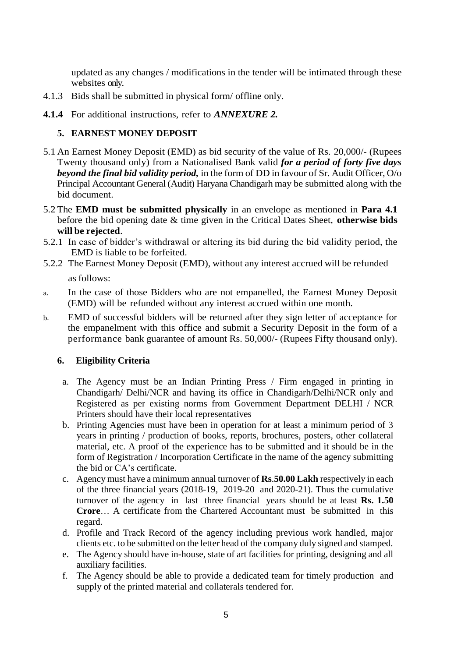updated as any changes / modifications in the tender will be intimated through these websites only.

- 4.1.3 Bids shall be submitted in physical form/ offline only.
- **4.1.4** For additional instructions, refer to *ANNEXURE 2.*

# **5. EARNEST MONEY DEPOSIT**

- 5.1 An Earnest Money Deposit (EMD) as bid security of the value of Rs. 20,000/- (Rupees Twenty thousand only) from a Nationalised Bank valid *for a period of forty five days beyond the final bid validity period,* in the form of DD in favour of Sr. Audit Officer, O/o Principal Accountant General (Audit) Haryana Chandigarh may be submitted along with the bid document.
- 5.2 The **EMD must be submitted physically** in an envelope as mentioned in **Para 4.1** before the bid opening date & time given in the Critical Dates Sheet, **otherwise bids will be rejected**.
- 5.2.1 In case of bidder's withdrawal or altering its bid during the bid validity period, the EMD is liable to be forfeited.
- 5.2.2 The Earnest Money Deposit (EMD), without any interest accrued will be refunded

as follows:

- a. In the case of those Bidders who are not empanelled, the Earnest Money Deposit (EMD) will be refunded without any interest accrued within one month.
- b. EMD of successful bidders will be returned after they sign letter of acceptance for the empanelment with this office and submit a Security Deposit in the form of a performance bank guarantee of amount Rs. 50,000/- (Rupees Fifty thousand only).

# **6. Eligibility Criteria**

- a. The Agency must be an Indian Printing Press / Firm engaged in printing in Chandigarh/ Delhi/NCR and having its office in Chandigarh/Delhi/NCR only and Registered as per existing norms from Government Department DELHI / NCR Printers should have their local representatives
- b. Printing Agencies must have been in operation for at least a minimum period of 3 years in printing / production of books, reports, brochures, posters, other collateral material, etc. A proof of the experience has to be submitted and it should be in the form of Registration / Incorporation Certificate in the name of the agency submitting the bid or CA's certificate.
- c. Agency must have a minimum annual turnover of **Rs**.**50.00 Lakh** respectively in each of the three financial years (2018-19, 2019-20 and 2020-21). Thus the cumulative turnover of the agency in last three financial years should be at least **Rs. 1.50 Crore**… A certificate from the Chartered Accountant must be submitted in this regard.
- d. Profile and Track Record of the agency including previous work handled, major clients etc. to be submitted on the letter head of the company duly signed and stamped.
- e. The Agency should have in-house, state of art facilities for printing, designing and all auxiliary facilities.
- f. The Agency should be able to provide a dedicated team for timely production and supply of the printed material and collaterals tendered for.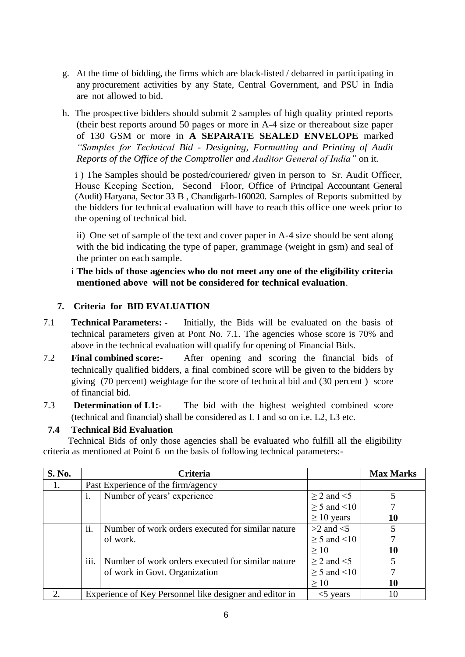- g. At the time of bidding, the firms which are black-listed / debarred in participating in any procurement activities by any State, Central Government, and PSU in India are not allowed to bid.
- h. The prospective bidders should submit 2 samples of high quality printed reports (their best reports around 50 pages or more in A-4 size or thereabout size paper of 130 GSM or more in **A SEPARATE SEALED ENVELOPE** marked *"Samples for Technical Bid* - *Designing, Formatting and Printing of Audit Reports of the Office of the Comptroller and Auditor General of India"* on it.

i ) The Samples should be posted/couriered/ given in person to Sr. Audit Officer, House Keeping Section, Second Floor, Office of Principal Accountant General (Audit) Haryana, Sector 33 B , Chandigarh-160020. Samples of Reports submitted by the bidders for technical evaluation will have to reach this office one week prior to the opening of technical bid.

ii) One set of sample of the text and cover paper in A-4 size should be sent along with the bid indicating the type of paper, grammage (weight in gsm) and seal of the printer on each sample.

# i **The bids of those agencies who do not meet any one of the eligibility criteria mentioned above will not be considered for technical evaluation**.

# **7. Criteria for BID EVALUATION**

- 7.1 **Technical Parameters: -** Initially, the Bids will be evaluated on the basis of technical parameters given at Pont No. 7.1. The agencies whose score is 70% and above in the technical evaluation will qualify for opening of Financial Bids.
- 7.2 **Final combined score:-** After opening and scoring the financial bids of technically qualified bidders, a final combined score will be given to the bidders by giving (70 percent) weightage for the score of technical bid and (30 percent ) score of financial bid.
- 7.3 **Determination of L1:-** The bid with the highest weighted combined score (technical and financial) shall be considered as L I and so on i.e. L2, L3 etc.

# **7.4 Technical Bid Evaluation**

Technical Bids of only those agencies shall be evaluated who fulfill all the eligibility criteria as mentioned at Point 6 on the basis of following technical parameters:-

| S. No. |                  | <b>Criteria</b>                                         |                       | <b>Max Marks</b> |
|--------|------------------|---------------------------------------------------------|-----------------------|------------------|
| 1.     |                  | Past Experience of the firm/agency                      |                       |                  |
|        | 1.               | Number of years' experience                             | $\geq$ 2 and $\leq$ 5 |                  |
|        |                  |                                                         | $\geq$ 5 and <10      |                  |
|        |                  |                                                         | $\geq 10$ years       | 10               |
|        | ii.              | Number of work orders executed for similar nature       | $>2$ and $<$ 5        |                  |
|        |                  | of work.                                                | $\geq$ 5 and <10      |                  |
|        |                  |                                                         | >10                   | 10               |
|        | $\cdots$<br>111. | Number of work orders executed for similar nature       | $>$ 2 and $\leq$ 5    |                  |
|        |                  | of work in Govt. Organization                           | $\geq$ 5 and <10      |                  |
|        |                  |                                                         | >10                   | 10               |
|        |                  | Experience of Key Personnel like designer and editor in | years<br>$\leq 5$     | 10               |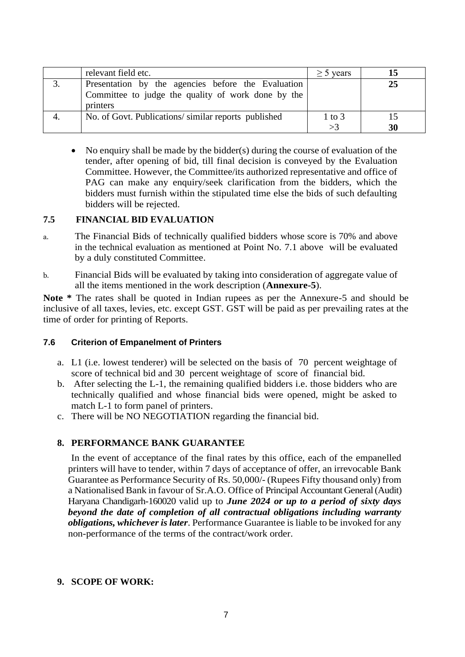|    | relevant field etc.                                                                                                  | $\geq$ 5 years   |    |
|----|----------------------------------------------------------------------------------------------------------------------|------------------|----|
|    | Presentation by the agencies before the Evaluation<br>Committee to judge the quality of work done by the<br>printers |                  | 25 |
| 4. | No. of Govt. Publications/similar reports published                                                                  | $1$ to $3$<br>>3 | 30 |

• No enquiry shall be made by the bidder(s) during the course of evaluation of the tender, after opening of bid, till final decision is conveyed by the Evaluation Committee. However, the Committee/its authorized representative and office of PAG can make any enquiry/seek clarification from the bidders, which the bidders must furnish within the stipulated time else the bids of such defaulting bidders will be rejected.

# **7.5 FINANCIAL BID EVALUATION**

- a. The Financial Bids of technically qualified bidders whose score is 70% and above in the technical evaluation as mentioned at Point No. 7.1 above will be evaluated by a duly constituted Committee.
- b. Financial Bids will be evaluated by taking into consideration of aggregate value of all the items mentioned in the work description (**Annexure-5**).

**Note \*** The rates shall be quoted in Indian rupees as per the Annexure-5 and should be inclusive of all taxes, levies, etc. except GST. GST will be paid as per prevailing rates at the time of order for printing of Reports.

#### **7.6 Criterion of Empanelment of Printers**

- a. L1 (i.e. lowest tenderer) will be selected on the basis of 70 percent weightage of score of technical bid and 30 percent weightage of score of financial bid.
- b. After selecting the L-1, the remaining qualified bidders i.e. those bidders who are technically qualified and whose financial bids were opened, might be asked to match L-1 to form panel of printers.
- c. There will be NO NEGOTIATION regarding the financial bid.

#### **8. PERFORMANCE BANK GUARANTEE**

In the event of acceptance of the final rates by this office, each of the empanelled printers will have to tender, within 7 days of acceptance of offer, an irrevocable Bank Guarantee as Performance Security of Rs. 50,000/- (Rupees Fifty thousand only) from a Nationalised Bank in favour of Sr.A.O. Office of Principal Accountant General (Audit) Haryana Chandigarh-160020 valid up to *June 2024 or up to a period of sixty days beyond the date of completion of all contractual obligations including warranty obligations, whichever is later*. Performance Guarantee is liable to be invoked for any non-performance of the terms of the contract/work order.

#### **9. SCOPE OF WORK:**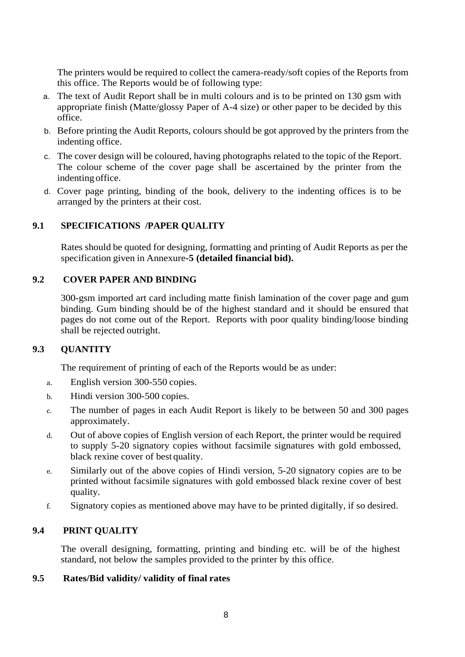The printers would be required to collect the camera-ready/soft copies of the Reports from this office. The Reports would be of following type:

- a. The text of Audit Report shall be in multi colours and is to be printed on 130 gsm with appropriate finish (Matte/glossy Paper of A-4 size) or other paper to be decided by this office.
- b. Before printing the Audit Reports, colours should be got approved by the printers from the indenting office.
- c. The cover design will be coloured, having photographs related to the topic of the Report. The colour scheme of the cover page shall be ascertained by the printer from the indenting office.
- d. Cover page printing, binding of the book, delivery to the indenting offices is to be arranged by the printers at their cost.

# **9.1 SPECIFICATIONS /PAPER QUALITY**

Rates should be quoted for designing, formatting and printing of Audit Reports as per the specification given in Annexure**-5 (detailed financial bid).**

# **9.2 COVER PAPER AND BINDING**

300-gsm imported art card including matte finish lamination of the cover page and gum binding. Gum binding should be of the highest standard and it should be ensured that pages do not come out of the Report. Reports with poor quality binding/loose binding shall be rejected outright.

# **9.3 QUANTITY**

The requirement of printing of each of the Reports would be as under:

- a. English version 300-550 copies.
- b. Hindi version 300-500 copies.
- c. The number of pages in each Audit Report is likely to be between 50 and 300 pages approximately.
- d. Out of above copies of English version of each Report, the printer would be required to supply 5-20 signatory copies without facsimile signatures with gold embossed, black rexine cover of best quality.
- e. Similarly out of the above copies of Hindi version, 5-20 signatory copies are to be printed without facsimile signatures with gold embossed black rexine cover of best quality.
- f. Signatory copies as mentioned above may have to be printed digitally, if so desired.

# **9.4 PRINT QUALITY**

The overall designing, formatting, printing and binding etc. will be of the highest standard, not below the samples provided to the printer by this office.

# **9.5 Rates/Bid validity/ validity of final rates**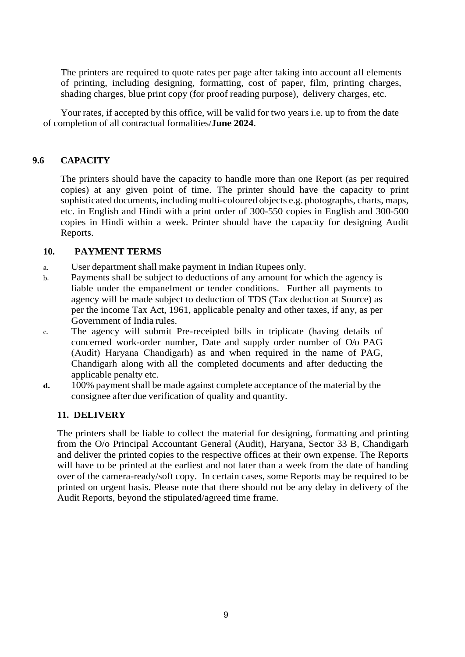The printers are required to quote rates per page after taking into account all elements of printing, including designing, formatting, cost of paper, film, printing charges, shading charges, blue print copy (for proof reading purpose), delivery charges, etc.

Your rates, if accepted by this office, will be valid for two years i.e. up to from the date of completion of all contractual formalities/**June 2024**.

### **9.6 CAPACITY**

The printers should have the capacity to handle more than one Report (as per required copies) at any given point of time. The printer should have the capacity to print sophisticated documents, including multi-coloured objects e.g. photographs, charts, maps, etc. in English and Hindi with a print order of 300-550 copies in English and 300-500 copies in Hindi within a week. Printer should have the capacity for designing Audit Reports.

#### **10. PAYMENT TERMS**

- a. User department shall make payment in Indian Rupees only.
- b. Payments shall be subject to deductions of any amount for which the agency is liable under the empanelment or tender conditions. Further all payments to agency will be made subject to deduction of TDS (Tax deduction at Source) as per the income Tax Act, 1961, applicable penalty and other taxes, if any, as per Government of India rules.
- c. The agency will submit Pre-receipted bills in triplicate (having details of concerned work-order number, Date and supply order number of O/o PAG (Audit) Haryana Chandigarh) as and when required in the name of PAG, Chandigarh along with all the completed documents and after deducting the applicable penalty etc.
- d. 100% payment shall be made against complete acceptance of the material by the consignee after due verification of quality and quantity.

#### **11. DELIVERY**

The printers shall be liable to collect the material for designing, formatting and printing from the O/o Principal Accountant General (Audit), Haryana, Sector 33 B, Chandigarh and deliver the printed copies to the respective offices at their own expense. The Reports will have to be printed at the earliest and not later than a week from the date of handing over of the camera-ready/soft copy. In certain cases, some Reports may be required to be printed on urgent basis. Please note that there should not be any delay in delivery of the Audit Reports, beyond the stipulated/agreed time frame.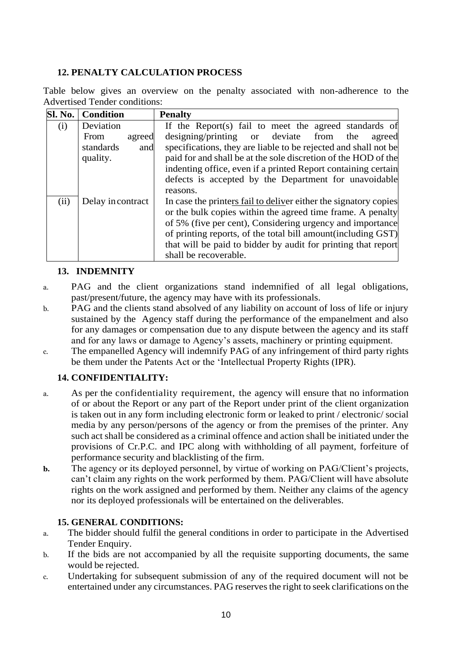# **12. PENALTY CALCULATION PROCESS**

Table below gives an overview on the penalty associated with non-adherence to the Advertised Tender conditions:

| Sl. No. | <b>Condition</b>      | <b>Penalty</b>                                                   |
|---------|-----------------------|------------------------------------------------------------------|
| (i)     | Deviation             | If the Report(s) fail to meet the agreed standards of            |
|         | <b>From</b><br>agreed | designing/printing or deviate from<br>the<br>agreed              |
|         | standards<br>and      | specifications, they are liable to be rejected and shall not be  |
|         | quality.              | paid for and shall be at the sole discretion of the HOD of the   |
|         |                       | indenting office, even if a printed Report containing certain    |
|         |                       | defects is accepted by the Department for unavoidable            |
|         |                       | reasons.                                                         |
| (ii)    | Delay in contract     | In case the printers fail to deliver either the signatory copies |
|         |                       | or the bulk copies within the agreed time frame. A penalty       |
|         |                       | of 5% (five per cent), Considering urgency and importance        |
|         |                       | of printing reports, of the total bill amount (including GST)    |
|         |                       | that will be paid to bidder by audit for printing that report    |
|         |                       | shall be recoverable.                                            |

# **13. INDEMNITY**

- a. PAG and the client organizations stand indemnified of all legal obligations, past/present/future, the agency may have with its professionals.
- b. PAG and the clients stand absolved of any liability on account of loss of life or injury sustained by the Agency staff during the performance of the empanelment and also for any damages or compensation due to any dispute between the agency and its staff and for any laws or damage to Agency's assets, machinery or printing equipment.
- c. The empanelled Agency will indemnify PAG of any infringement of third party rights be them under the Patents Act or the 'Intellectual Property Rights (IPR).

# **14. CONFIDENTIALITY:**

- a. As per the confidentiality requirement, the agency will ensure that no information of or about the Report or any part of the Report under print of the client organization is taken out in any form including electronic form or leaked to print / electronic/ social media by any person/persons of the agency or from the premises of the printer. Any such act shall be considered as a criminal offence and action shall be initiated under the provisions of Cr.P.C. and IPC along with withholding of all payment, forfeiture of performance security and blacklisting of the firm.
- **b.** The agency or its deployed personnel, by virtue of working on PAG/Client's projects, can't claim any rights on the work performed by them. PAG/Client will have absolute rights on the work assigned and performed by them. Neither any claims of the agency nor its deployed professionals will be entertained on the deliverables.

# **15. GENERAL CONDITIONS:**

- a. The bidder should fulfil the general conditions in order to participate in the Advertised Tender Enquiry.
- b. If the bids are not accompanied by all the requisite supporting documents, the same would be rejected.
- c. Undertaking for subsequent submission of any of the required document will not be entertained under any circumstances. PAG reserves the right to seek clarifications on the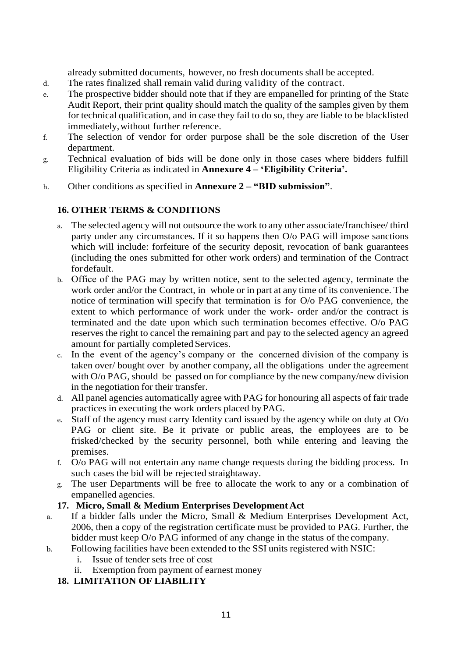already submitted documents, however, no fresh documents shall be accepted.

- d. The rates finalized shall remain valid during validity of the contract.
- e. The prospective bidder should note that if they are empanelled for printing of the State Audit Report, their print quality should match the quality of the samples given by them for technical qualification, and in case they fail to do so, they are liable to be blacklisted immediately,without further reference.
- f. The selection of vendor for order purpose shall be the sole discretion of the User department.
- g. Technical evaluation of bids will be done only in those cases where bidders fulfill Eligibility Criteria as indicated in **Annexure 4 – 'Eligibility Criteria'.**
- h. Other conditions as specified in **Annexure 2 – "BID submission"**.

# **16. OTHER TERMS & CONDITIONS**

- a. The selected agency will not outsource the work to any other associate/franchisee/ third party under any circumstances. If it so happens then O/o PAG will impose sanctions which will include: forfeiture of the security deposit, revocation of bank guarantees (including the ones submitted for other work orders) and termination of the Contract fordefault.
- b. Office of the PAG may by written notice, sent to the selected agency, terminate the work order and/or the Contract, in whole or in part at any time of its convenience. The notice of termination will specify that termination is for O/o PAG convenience, the extent to which performance of work under the work- order and/or the contract is terminated and the date upon which such termination becomes effective. O/o PAG reserves the right to cancel the remaining part and pay to the selected agency an agreed amount for partially completed Services.
- c. In the event of the agency's company or the concerned division of the company is taken over/ bought over by another company, all the obligations under the agreement with O/o PAG, should be passed on for compliance by the new company/new division in the negotiation for their transfer.
- d. All panel agencies automatically agree with PAG for honouring all aspects of fair trade practices in executing the work orders placed byPAG.
- e. Staff of the agency must carry Identity card issued by the agency while on duty at O/o PAG or client site. Be it private or public areas, the employees are to be frisked/checked by the security personnel, both while entering and leaving the premises.
- f. O/o PAG will not entertain any name change requests during the bidding process. In such cases the bid will be rejected straightaway.
- g. The user Departments will be free to allocate the work to any or a combination of empanelled agencies.

#### **17. Micro, Small & Medium Enterprises Development Act**

- a. If a bidder falls under the Micro, Small & Medium Enterprises Development Act, 2006, then a copy of the registration certificate must be provided to PAG. Further, the bidder must keep O/o PAG informed of any change in the status of the company.
- b. Following facilities have been extended to the SSI units registered with NSIC:
	- i. Issue of tender sets free of cost
	- ii. Exemption from payment of earnest money

# **18. LIMITATION OF LIABILITY**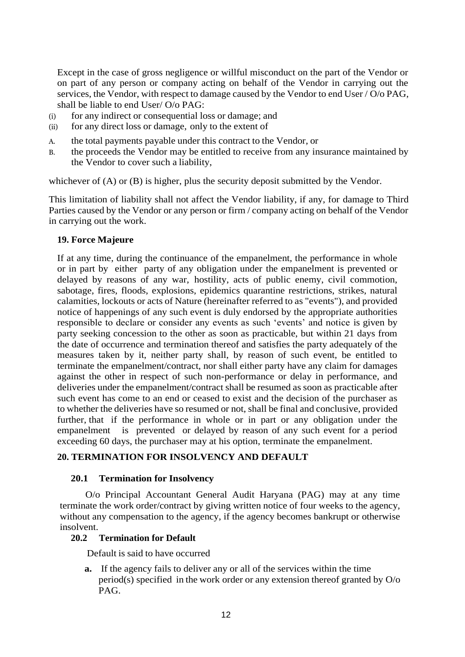Except in the case of gross negligence or willful misconduct on the part of the Vendor or on part of any person or company acting on behalf of the Vendor in carrying out the services, the Vendor, with respect to damage caused by the Vendor to end User / O/o PAG, shall be liable to end User/ O/o PAG:

- (i) for any indirect or consequential loss or damage; and
- (ii) for any direct loss or damage, only to the extent of
- A. the total payments payable under this contract to the Vendor, or
- B. the proceeds the Vendor may be entitled to receive from any insurance maintained by the Vendor to cover such a liability,

whichever of (A) or (B) is higher, plus the security deposit submitted by the Vendor.

This limitation of liability shall not affect the Vendor liability, if any, for damage to Third Parties caused by the Vendor or any person or firm / company acting on behalf of the Vendor in carrying out the work.

### **19. Force Majeure**

If at any time, during the continuance of the empanelment, the performance in whole or in part by either party of any obligation under the empanelment is prevented or delayed by reasons of any war, hostility, acts of public enemy, civil commotion, sabotage, fires, floods, explosions, epidemics quarantine restrictions, strikes, natural calamities, lockouts or acts of Nature (hereinafter referred to as "events"), and provided notice of happenings of any such event is duly endorsed by the appropriate authorities responsible to declare or consider any events as such 'events' and notice is given by party seeking concession to the other as soon as practicable, but within 21 days from the date of occurrence and termination thereof and satisfies the party adequately of the measures taken by it, neither party shall, by reason of such event, be entitled to terminate the empanelment/contract, nor shall either party have any claim for damages against the other in respect of such non-performance or delay in performance, and deliveries under the empanelment/contract shall be resumed as soon as practicable after such event has come to an end or ceased to exist and the decision of the purchaser as to whether the deliveries have so resumed or not, shall be final and conclusive, provided further, that if the performance in whole or in part or any obligation under the empanelment is prevented or delayed by reason of any such event for a period exceeding 60 days, the purchaser may at his option, terminate the empanelment.

# **20. TERMINATION FOR INSOLVENCY AND DEFAULT**

#### **20.1 Termination for Insolvency**

O/o Principal Accountant General Audit Haryana (PAG) may at any time terminate the work order/contract by giving written notice of four weeks to the agency, without any compensation to the agency, if the agency becomes bankrupt or otherwise insolvent.

# **20.2 Termination for Default**

Default is said to have occurred

**a.** If the agency fails to deliver any or all of the services within the time period(s) specified in the work order or any extension thereof granted by O/o PAG.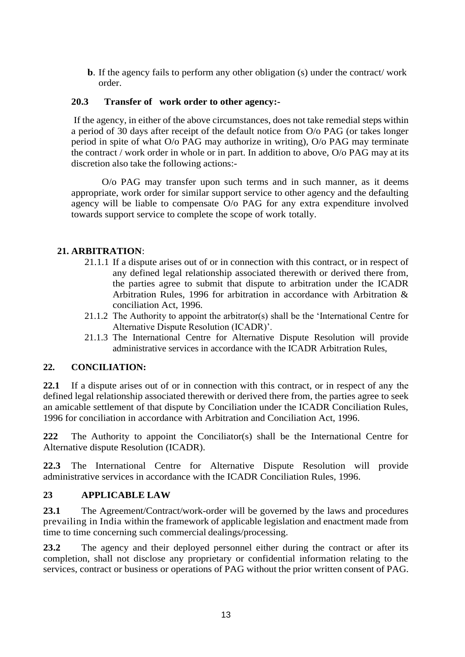**b**. If the agency fails to perform any other obligation (s) under the contract/ work order.

# **20.3 Transfer of work order to other agency:-**

If the agency, in either of the above circumstances, does not take remedial steps within a period of 30 days after receipt of the default notice from O/o PAG (or takes longer period in spite of what O/o PAG may authorize in writing), O/o PAG may terminate the contract / work order in whole or in part. In addition to above, O/o PAG may at its discretion also take the following actions:-

O/o PAG may transfer upon such terms and in such manner, as it deems appropriate, work order for similar support service to other agency and the defaulting agency will be liable to compensate O/o PAG for any extra expenditure involved towards support service to complete the scope of work totally.

# **21. ARBITRATION**:

- 21.1.1 If a dispute arises out of or in connection with this contract, or in respect of any defined legal relationship associated therewith or derived there from, the parties agree to submit that dispute to arbitration under the ICADR Arbitration Rules, 1996 for arbitration in accordance with Arbitration & conciliation Act, 1996.
- 21.1.2 The Authority to appoint the arbitrator(s) shall be the 'International Centre for Alternative Dispute Resolution (ICADR)'.
- 21.1.3 The International Centre for Alternative Dispute Resolution will provide administrative services in accordance with the ICADR Arbitration Rules,

# **22. CONCILIATION:**

**22.1** If a dispute arises out of or in connection with this contract, or in respect of any the defined legal relationship associated therewith or derived there from, the parties agree to seek an amicable settlement of that dispute by Conciliation under the ICADR Conciliation Rules, 1996 for conciliation in accordance with Arbitration and Conciliation Act, 1996.

**222** The Authority to appoint the Conciliator(s) shall be the International Centre for Alternative dispute Resolution (ICADR).

**22.3** The International Centre for Alternative Dispute Resolution will provide administrative services in accordance with the ICADR Conciliation Rules, 1996.

# **23 APPLICABLE LAW**

**23.1** The Agreement/Contract/work-order will be governed by the laws and procedures prevailing in India within the framework of applicable legislation and enactment made from time to time concerning such commercial dealings/processing.

**23.2** The agency and their deployed personnel either during the contract or after its completion, shall not disclose any proprietary or confidential information relating to the services, contract or business or operations of PAG without the prior written consent of PAG.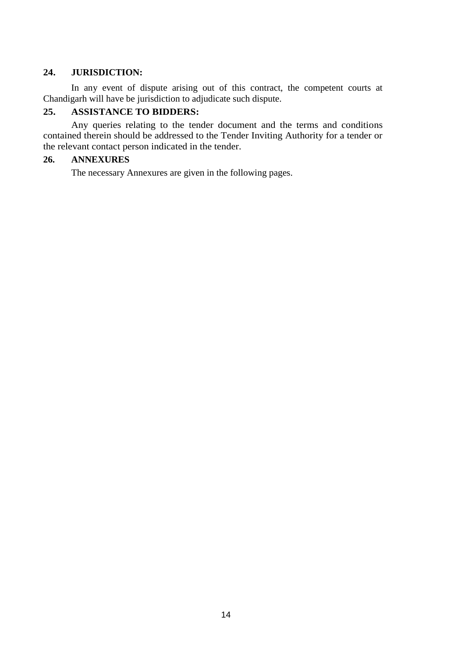### **24. JURISDICTION:**

In any event of dispute arising out of this contract, the competent courts at Chandigarh will have be jurisdiction to adjudicate such dispute.

### **25. ASSISTANCE TO BIDDERS:**

Any queries relating to the tender document and the terms and conditions contained therein should be addressed to the Tender Inviting Authority for a tender or the relevant contact person indicated in the tender.

#### **26. ANNEXURES**

The necessary Annexures are given in the following pages.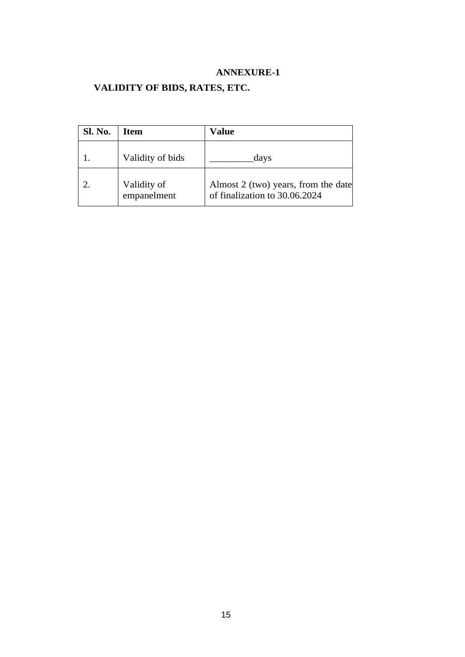# **VALIDITY OF BIDS, RATES, ETC.**

| <b>Sl. No.</b> | <b>Item</b>                | Value                                                                |
|----------------|----------------------------|----------------------------------------------------------------------|
|                | Validity of bids           | days                                                                 |
|                | Validity of<br>empanelment | Almost 2 (two) years, from the date<br>of finalization to 30.06.2024 |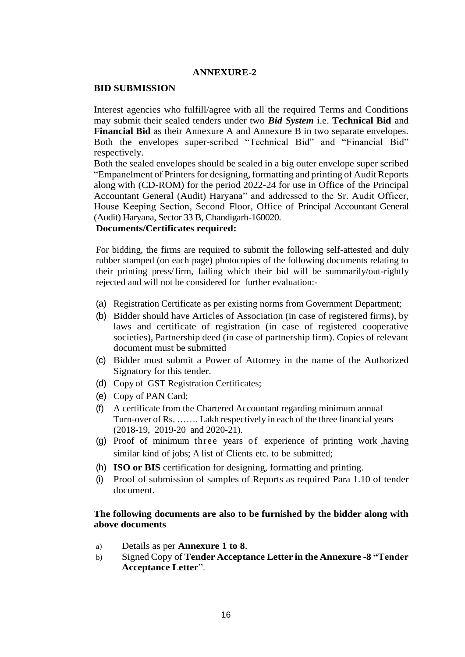#### **BID SUBMISSION**

Interest agencies who fulfill/agree with all the required Terms and Conditions may submit their sealed tenders under two *Bid System* i.e. **Technical Bid** and **Financial Bid** as their Annexure A and Annexure B in two separate envelopes. Both the envelopes super-scribed "Technical Bid" and "Financial Bid" respectively.

Both the sealed envelopes should be sealed in a big outer envelope super scribed "Empanelment of Printersfor designing, formatting and printing of Audit Reports along with (CD-ROM) for the period 2022-24 for use in Office of the Principal Accountant General (Audit) Haryana" and addressed to the Sr. Audit Officer, House Keeping Section, Second Floor, Office of Principal Accountant General (Audit) Haryana, Sector 33 B, Chandigarh-160020.

### **Documents/Certificates required:**

For bidding, the firms are required to submit the following self-attested and duly rubber stamped (on each page) photocopies of the following documents relating to their printing press/firm, failing which their bid will be summarily/out-rightly rejected and will not be considered for further evaluation:-

- (a) Registration Certificate as per existing norms from Government Department;
- (b) Bidder should have Articles of Association (in case of registered firms), by laws and certificate of registration (in case of registered cooperative societies), Partnership deed (in case of partnership firm). Copies of relevant document must be submitted
- (c) Bidder must submit a Power of Attorney in the name of the Authorized Signatory for this tender.
- (d) Copy of GST Registration Certificates;
- (e) Copy of PAN Card;
- (f) A certificate from the Chartered Accountant regarding minimum annual Turn-over of Rs. ……. Lakh respectively in each of the three financial years (2018-19, 2019-20 and 2020-21).
- $(q)$  Proof of minimum three years of experience of printing work , having similar kind of jobs; A list of Clients etc. to be submitted;
- (h) **ISO or BIS** certification for designing, formatting and printing.
- (i) Proof of submission of samples of Reports as required Para 1.10 of tender document.

#### **The following documents are also to be furnished by the bidder along with above documents**

- a) Details as per **Annexure 1 to 8**.
- b) Signed Copy of **Tender Acceptance Letter in the Annexure -8 "Tender Acceptance Letter**".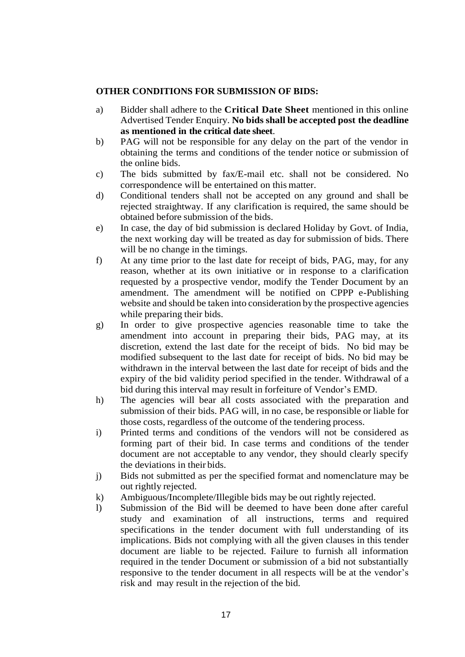#### **OTHER CONDITIONS FOR SUBMISSION OF BIDS:**

- a) Bidder shall adhere to the **Critical Date Sheet** mentioned in this online Advertised Tender Enquiry. **No bids shall be accepted post the deadline as mentioned in the critical date sheet**.
- b) PAG will not be responsible for any delay on the part of the vendor in obtaining the terms and conditions of the tender notice or submission of the online bids.
- c) The bids submitted by fax/E-mail etc. shall not be considered. No correspondence will be entertained on this matter.
- d) Conditional tenders shall not be accepted on any ground and shall be rejected straightway. If any clarification is required, the same should be obtained before submission of the bids.
- e) In case, the day of bid submission is declared Holiday by Govt. of India, the next working day will be treated as day for submission of bids. There will be no change in the timings.
- f) At any time prior to the last date for receipt of bids, PAG, may, for any reason, whether at its own initiative or in response to a clarification requested by a prospective vendor, modify the Tender Document by an amendment. The amendment will be notified on CPPP e-Publishing website and should be taken into consideration by the prospective agencies while preparing their bids.
- g) In order to give prospective agencies reasonable time to take the amendment into account in preparing their bids, PAG may, at its discretion, extend the last date for the receipt of bids. No bid may be modified subsequent to the last date for receipt of bids. No bid may be withdrawn in the interval between the last date for receipt of bids and the expiry of the bid validity period specified in the tender. Withdrawal of a bid during this interval may result in forfeiture of Vendor's EMD.
- h) The agencies will bear all costs associated with the preparation and submission of their bids. PAG will, in no case, be responsible or liable for those costs, regardless of the outcome of the tendering process.
- i) Printed terms and conditions of the vendors will not be considered as forming part of their bid. In case terms and conditions of the tender document are not acceptable to any vendor, they should clearly specify the deviations in their bids.
- j) Bids not submitted as per the specified format and nomenclature may be out rightly rejected.
- k) Ambiguous/Incomplete/Illegible bids may be out rightly rejected.
- l) Submission of the Bid will be deemed to have been done after careful study and examination of all instructions, terms and required specifications in the tender document with full understanding of its implications. Bids not complying with all the given clauses in this tender document are liable to be rejected. Failure to furnish all information required in the tender Document or submission of a bid not substantially responsive to the tender document in all respects will be at the vendor's risk and may result in the rejection of the bid.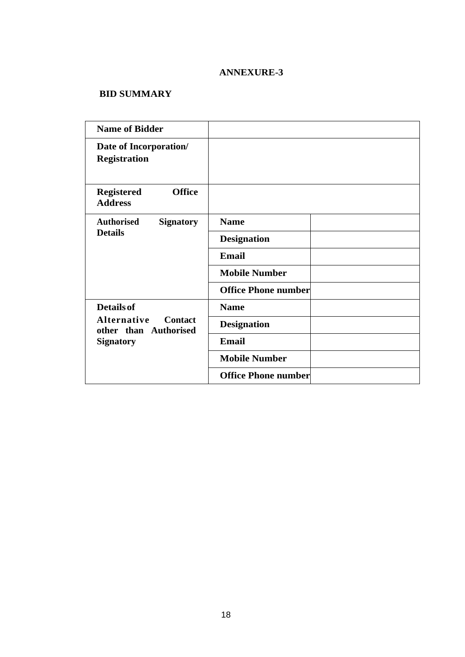# **BID SUMMARY**

| <b>Name of Bidder</b>                                  |                            |  |
|--------------------------------------------------------|----------------------------|--|
| Date of Incorporation/<br><b>Registration</b>          |                            |  |
| <b>Office</b><br><b>Registered</b><br><b>Address</b>   |                            |  |
| <b>Authorised</b><br><b>Signatory</b>                  | <b>Name</b>                |  |
| <b>Details</b>                                         | <b>Designation</b>         |  |
|                                                        | Email                      |  |
|                                                        | <b>Mobile Number</b>       |  |
|                                                        | <b>Office Phone number</b> |  |
| <b>Details of</b>                                      | <b>Name</b>                |  |
| Alternative<br><b>Contact</b><br>other than Authorised | <b>Designation</b>         |  |
| <b>Signatory</b>                                       | Email                      |  |
|                                                        | <b>Mobile Number</b>       |  |
|                                                        | <b>Office Phone number</b> |  |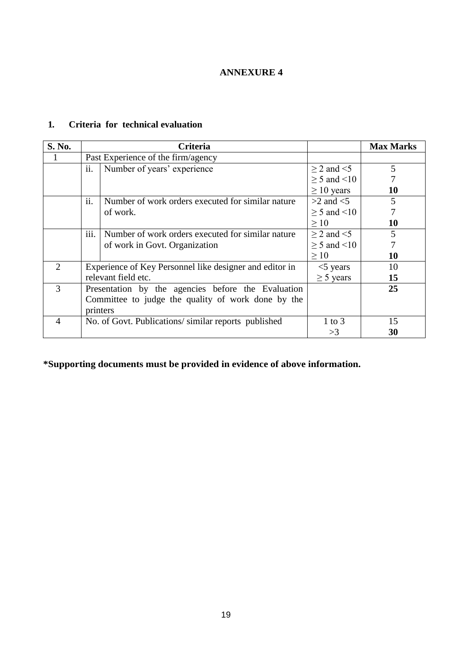### **1. Criteria for technical evaluation**

| S. No.                      |                   | <b>Criteria</b>                                         |                       | <b>Max Marks</b> |
|-----------------------------|-------------------|---------------------------------------------------------|-----------------------|------------------|
|                             |                   | Past Experience of the firm/agency                      |                       |                  |
|                             | ii.               | Number of years' experience                             | $\geq$ 2 and $\leq$ 5 | 5                |
|                             |                   |                                                         | $\geq$ 5 and <10      |                  |
|                             |                   |                                                         | $\geq 10$ years       | 10               |
|                             | $\overline{11}$ . | Number of work orders executed for similar nature       | $>2$ and $<$ 5        | 5                |
|                             |                   | of work.                                                | $> 5$ and $\leq 10$   |                  |
|                             |                   |                                                         | >10                   | 10               |
|                             | 111.              | Number of work orders executed for similar nature       | $>$ 2 and $<$ 5       | 5                |
|                             |                   | of work in Govt. Organization                           | $\geq$ 5 and <10      |                  |
|                             |                   |                                                         | >10                   | 10               |
| $\mathcal{D}_{\mathcal{L}}$ |                   | Experience of Key Personnel like designer and editor in | $<$ 5 years           | 10               |
|                             |                   | relevant field etc.                                     | $\geq$ 5 years        | 15               |
| 3                           |                   | Presentation by the agencies before the Evaluation      |                       | 25               |
|                             |                   | Committee to judge the quality of work done by the      |                       |                  |
|                             |                   | printers                                                |                       |                  |
| 4                           |                   | No. of Govt. Publications/similar reports published     | $1$ to $3$            | 15               |
|                             |                   |                                                         | >3                    | 30               |

**\*Supporting documents must be provided in evidence of above information.**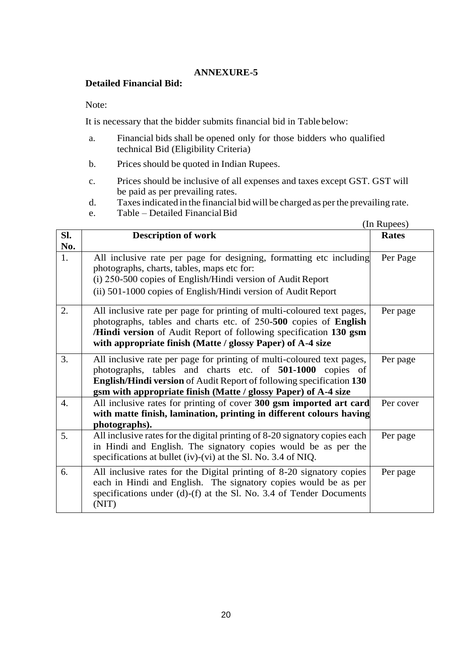#### **Detailed Financial Bid:**

Note:

It is necessary that the bidder submits financial bid in Tablebelow:

- a. Financial bids shall be opened only for those bidders who qualified technical Bid (Eligibility Criteria)
- b. Prices should be quoted in Indian Rupees.
- c. Prices should be inclusive of all expenses and taxes except GST. GST will be paid as per prevailing rates.
- d. Taxesindicated in the financial bid will be charged as perthe prevailing rate.
- e. Table Detailed FinancialBid

|                  |                                                                                                                                                                                                                                                                                      | (In Rupees)  |
|------------------|--------------------------------------------------------------------------------------------------------------------------------------------------------------------------------------------------------------------------------------------------------------------------------------|--------------|
| Sl.<br>No.       | <b>Description of work</b>                                                                                                                                                                                                                                                           | <b>Rates</b> |
| 1.               | All inclusive rate per page for designing, formatting etc including<br>photographs, charts, tables, maps etc for:<br>(i) 250-500 copies of English/Hindi version of Audit Report<br>(ii) 501-1000 copies of English/Hindi version of Audit Report                                    | Per Page     |
| 2.               | All inclusive rate per page for printing of multi-coloured text pages,<br>photographs, tables and charts etc. of 250-500 copies of English<br>/Hindi version of Audit Report of following specification 130 gsm<br>with appropriate finish (Matte / glossy Paper) of A-4 size        | Per page     |
| 3.               | All inclusive rate per page for printing of multi-coloured text pages,<br>photographs, tables and charts etc. of 501-1000 copies of<br><b>English/Hindi version</b> of Audit Report of following specification 130<br>gsm with appropriate finish (Matte / glossy Paper) of A-4 size | Per page     |
| $\overline{4}$ . | All inclusive rates for printing of cover 300 gsm imported art card<br>with matte finish, lamination, printing in different colours having<br>photographs).                                                                                                                          | Per cover    |
| 5.               | All inclusive rates for the digital printing of 8-20 signatory copies each<br>in Hindi and English. The signatory copies would be as per the<br>specifications at bullet (iv)-(vi) at the Sl. No. 3.4 of NIQ.                                                                        | Per page     |
| 6.               | All inclusive rates for the Digital printing of 8-20 signatory copies<br>each in Hindi and English. The signatory copies would be as per<br>specifications under (d)-(f) at the Sl. No. 3.4 of Tender Documents<br>(NIT)                                                             | Per page     |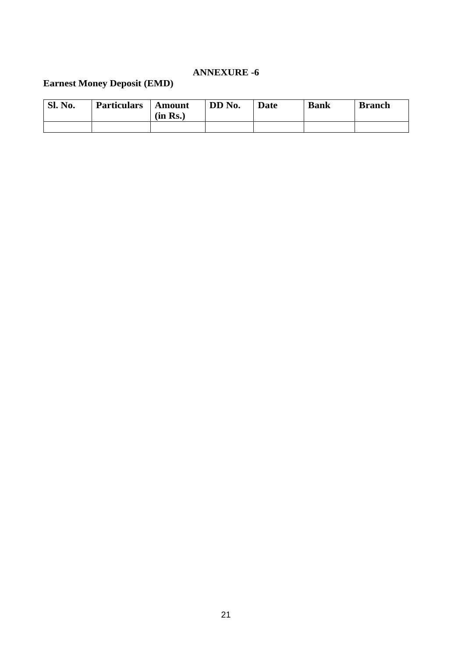# **Earnest Money Deposit (EMD)**

| <b>Sl. No.</b> | <b>Particulars</b> | <b>Amount</b><br>(in Rs.) | DD No. | Date | <b>Bank</b> | <b>Branch</b> |
|----------------|--------------------|---------------------------|--------|------|-------------|---------------|
|                |                    |                           |        |      |             |               |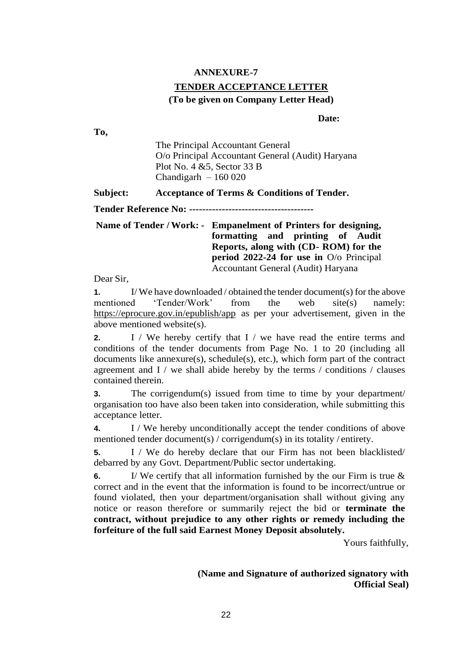# **TENDER ACCEPTANCE LETTER (To be given on Company Letter Head)**

**Date:**

The Principal Accountant General O/o Principal Accountant General (Audit) Haryana Plot No. 4 &5, Sector 33 B Chandigarh  $-160020$ 

**Subject: Acceptance of Terms & Conditions of Tender.**

**Tender Reference No: --------------------------------------**

**Name of Tender / Work: - Empanelment of Printers for designing, formatting and printing of Audit Reports, along with (CD- ROM) for the period 2022-24 for use in** O/o Principal Accountant General (Audit) Haryana

Dear Sir,

**To,**

**1.** I/ We have downloaded / obtained the tender document(s) for the above mentioned 'Tender/Work' from the web site(s) namely: https://eprocure.gov.in/epublish/app as per your advertisement, given in the above mentioned website(s).

**2.** I / We hereby certify that I / we have read the entire terms and conditions of the tender documents from Page No. 1 to 20 (including all documents like annexure(s), schedule(s), etc.), which form part of the contract agreement and  $I /$  we shall abide hereby by the terms  $/$  conditions  $/$  clauses contained therein.

**3.** The corrigendum(s) issued from time to time by your department/ organisation too have also been taken into consideration, while submitting this acceptance letter.

**4.** I / We hereby unconditionally accept the tender conditions of above mentioned tender document(s) / corrigendum(s) in its totality / entirety.

**5.** I / We do hereby declare that our Firm has not been blacklisted/ debarred by any Govt. Department/Public sector undertaking.

**6.** I/ We certify that all information furnished by the our Firm is true & correct and in the event that the information is found to be incorrect/untrue or found violated, then your department/organisation shall without giving any notice or reason therefore or summarily reject the bid or **terminate the contract, without prejudice to any other rights or remedy including the forfeiture of the full said Earnest Money Deposit absolutely.**

Yours faithfully,

**(Name and Signature of authorized signatory with Official Seal)**